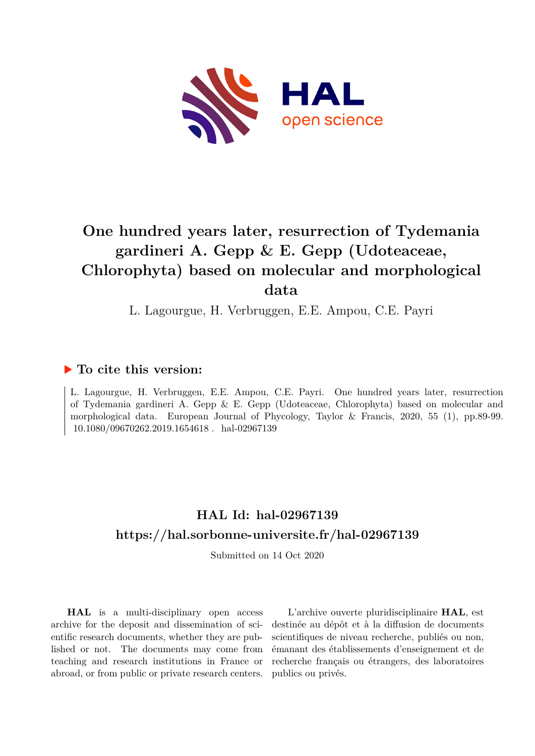

# **One hundred years later, resurrection of Tydemania gardineri A. Gepp & E. Gepp (Udoteaceae, Chlorophyta) based on molecular and morphological data**

L. Lagourgue, H. Verbruggen, E.E. Ampou, C.E. Payri

## **To cite this version:**

L. Lagourgue, H. Verbruggen, E.E. Ampou, C.E. Payri. One hundred years later, resurrection of Tydemania gardineri A. Gepp & E. Gepp (Udoteaceae, Chlorophyta) based on molecular and morphological data. European Journal of Phycology, Taylor & Francis, 2020, 55 (1), pp.89-99. 10.1080/09670262.2019.1654618. hal-02967139

## **HAL Id: hal-02967139 <https://hal.sorbonne-universite.fr/hal-02967139>**

Submitted on 14 Oct 2020

**HAL** is a multi-disciplinary open access archive for the deposit and dissemination of scientific research documents, whether they are published or not. The documents may come from teaching and research institutions in France or abroad, or from public or private research centers.

L'archive ouverte pluridisciplinaire **HAL**, est destinée au dépôt et à la diffusion de documents scientifiques de niveau recherche, publiés ou non, émanant des établissements d'enseignement et de recherche français ou étrangers, des laboratoires publics ou privés.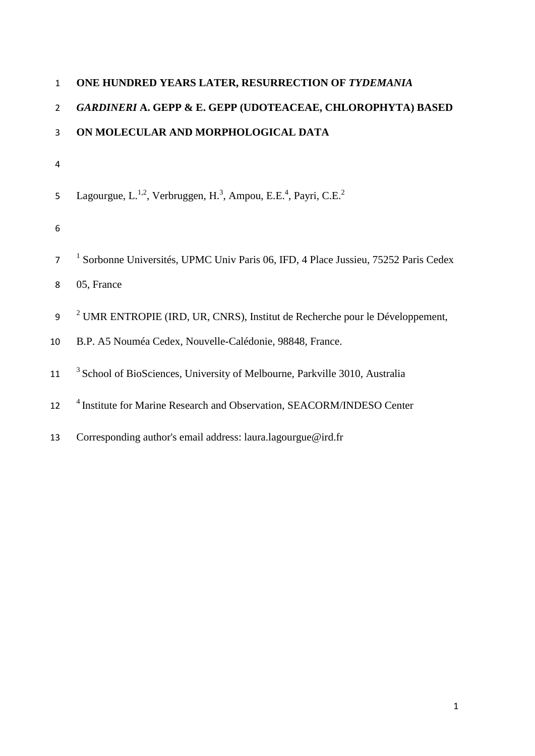| $\mathbf{1}$    | ONE HUNDRED YEARS LATER, RESURRECTION OF TYDEMANIA                                                               |
|-----------------|------------------------------------------------------------------------------------------------------------------|
| $\overline{2}$  | <b>GARDINERI A. GEPP &amp; E. GEPP (UDOTEACEAE, CHLOROPHYTA) BASED</b>                                           |
| 3               | ON MOLECULAR AND MORPHOLOGICAL DATA                                                                              |
| $\overline{4}$  |                                                                                                                  |
| 5               | Lagourgue, L. <sup>1,2</sup> , Verbruggen, H. <sup>3</sup> , Ampou, E.E. <sup>4</sup> , Payri, C.E. <sup>2</sup> |
| 6               |                                                                                                                  |
| $\overline{7}$  | Sorbonne Universités, UPMC Univ Paris 06, IFD, 4 Place Jussieu, 75252 Paris Cedex                                |
| 8               | 05, France                                                                                                       |
| 9               | <sup>2</sup> UMR ENTROPIE (IRD, UR, CNRS), Institut de Recherche pour le Développement,                          |
| 10 <sup>1</sup> | B.P. A5 Nouméa Cedex, Nouvelle-Calédonie, 98848, France.                                                         |
| 11              | <sup>3</sup> School of BioSciences, University of Melbourne, Parkville 3010, Australia                           |
| 12              | <sup>4</sup> Institute for Marine Research and Observation, SEACORM/INDESO Center                                |
|                 |                                                                                                                  |

Corresponding author's email address: laura.lagourgue@ird.fr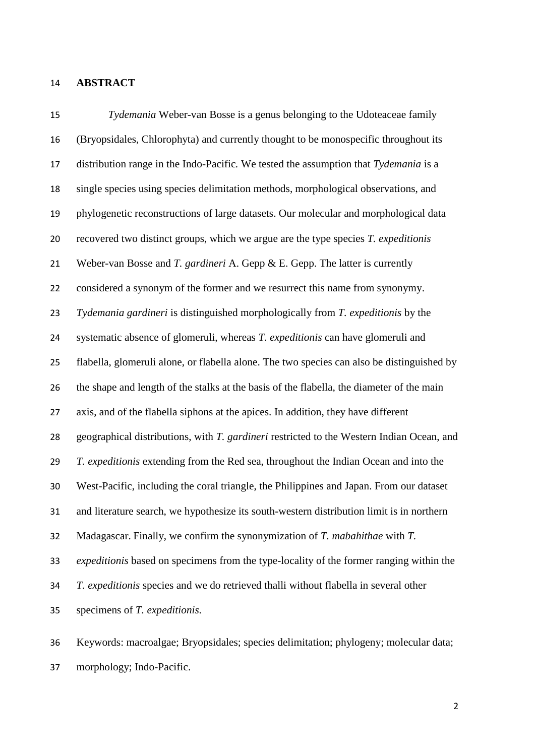#### **ABSTRACT**

 *Tydemania* Weber-van Bosse is a genus belonging to the Udoteaceae family (Bryopsidales, Chlorophyta) and currently thought to be monospecific throughout its distribution range in the Indo-Pacific*.* We tested the assumption that *Tydemania* is a single species using species delimitation methods, morphological observations, and phylogenetic reconstructions of large datasets. Our molecular and morphological data recovered two distinct groups, which we argue are the type species *T. expeditionis* Weber-van Bosse and *T. gardineri* A. Gepp & E. Gepp. The latter is currently considered a synonym of the former and we resurrect this name from synonymy. *Tydemania gardineri* is distinguished morphologically from *T. expeditionis* by the systematic absence of glomeruli, whereas *T. expeditionis* can have glomeruli and flabella, glomeruli alone, or flabella alone. The two species can also be distinguished by the shape and length of the stalks at the basis of the flabella, the diameter of the main axis, and of the flabella siphons at the apices. In addition, they have different geographical distributions, with *T. gardineri* restricted to the Western Indian Ocean, and *T. expeditionis* extending from the Red sea, throughout the Indian Ocean and into the West-Pacific, including the coral triangle, the Philippines and Japan. From our dataset and literature search, we hypothesize its south-western distribution limit is in northern Madagascar. Finally, we confirm the synonymization of *T. mabahithae* with *T. expeditionis* based on specimens from the type-locality of the former ranging within the *T. expeditionis* species and we do retrieved thalli without flabella in several other specimens of *T. expeditionis.*

 Keywords: macroalgae; Bryopsidales; species delimitation; phylogeny; molecular data; morphology; Indo-Pacific.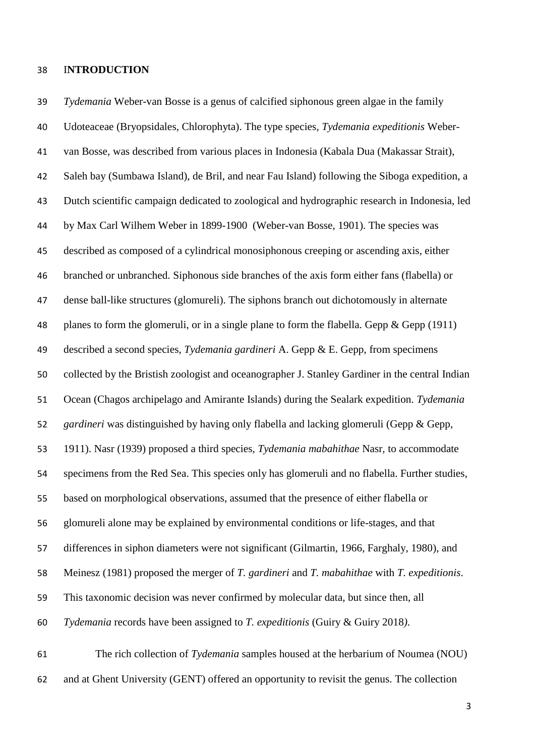#### I**NTRODUCTION**

 *Tydemania* Weber-van Bosse is a genus of calcified siphonous green algae in the family Udoteaceae (Bryopsidales, Chlorophyta). The type species, *Tydemania expeditionis* Weber- van Bosse*,* was described from various places in Indonesia (Kabala Dua (Makassar Strait), Saleh bay (Sumbawa Island), de Bril, and near Fau Island) following the Siboga expedition, a Dutch scientific campaign dedicated to zoological and hydrographic research in Indonesia, led by Max Carl Wilhem Weber in 1899-1900 (Weber-van Bosse, 1901). The species was described as composed of a cylindrical monosiphonous creeping or ascending axis, either branched or unbranched. Siphonous side branches of the axis form either fans (flabella) or dense ball-like structures (glomureli). The siphons branch out dichotomously in alternate 48 planes to form the glomeruli, or in a single plane to form the flabella. Gepp & Gepp (1911) described a second species, *Tydemania gardineri* A. Gepp & E. Gepp, from specimens collected by the Bristish zoologist and oceanographer J. Stanley Gardiner in the central Indian Ocean (Chagos archipelago and Amirante Islands) during the Sealark expedition. *Tydemania gardineri* was distinguished by having only flabella and lacking glomeruli (Gepp & Gepp, 1911). Nasr (1939) proposed a third species, *Tydemania mabahithae* Nasr*,* to accommodate specimens from the Red Sea. This species only has glomeruli and no flabella. Further studies, based on morphological observations, assumed that the presence of either flabella or glomureli alone may be explained by environmental conditions or life-stages, and that differences in siphon diameters were not significant (Gilmartin, 1966, Farghaly, 1980), and Meinesz (1981) proposed the merger of *T. gardineri* and *T. mabahithae* with *T. expeditionis*. This taxonomic decision was never confirmed by molecular data, but since then, all *Tydemania* records have been assigned to *T. expeditionis* (Guiry & Guiry 2018*)*. The rich collection of *Tydemania* samples housed at the herbarium of Noumea (NOU)

and at Ghent University (GENT) offered an opportunity to revisit the genus. The collection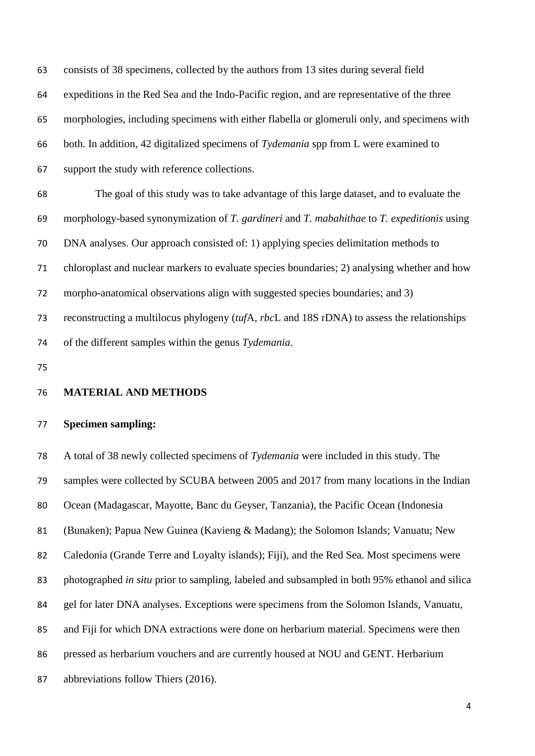consists of 38 specimens, collected by the authors from 13 sites during several field expeditions in the Red Sea and the Indo-Pacific region, and are representative of the three morphologies, including specimens with either flabella or glomeruli only, and specimens with both. In addition, 42 digitalized specimens of *Tydemania* spp from L were examined to support the study with reference collections. The goal of this study was to take advantage of this large dataset, and to evaluate the morphology-based synonymization of *T. gardineri* and *T. mabahithae* to *T. expeditionis* using DNA analyses. Our approach consisted of: 1) applying species delimitation methods to chloroplast and nuclear markers to evaluate species boundaries; 2) analysing whether and how morpho-anatomical observations align with suggested species boundaries; and 3) reconstructing a multilocus phylogeny (*tuf*A, *rbc*L and 18S rDNA) to assess the relationships of the different samples within the genus *Tydemania*.

### **MATERIAL AND METHODS**

#### **Specimen sampling:**

 A total of 38 newly collected specimens of *Tydemania* were included in this study. The samples were collected by SCUBA between 2005 and 2017 from many locations in the Indian Ocean (Madagascar, Mayotte, Banc du Geyser, Tanzania), the Pacific Ocean (Indonesia (Bunaken); Papua New Guinea (Kavieng & Madang); the Solomon Islands; Vanuatu; New Caledonia (Grande Terre and Loyalty islands); Fiji), and the Red Sea. Most specimens were photographed *in situ* prior to sampling, labeled and subsampled in both 95% ethanol and silica gel for later DNA analyses. Exceptions were specimens from the Solomon Islands, Vanuatu, and Fiji for which DNA extractions were done on herbarium material. Specimens were then pressed as herbarium vouchers and are currently housed at NOU and GENT. Herbarium abbreviations follow Thiers (2016).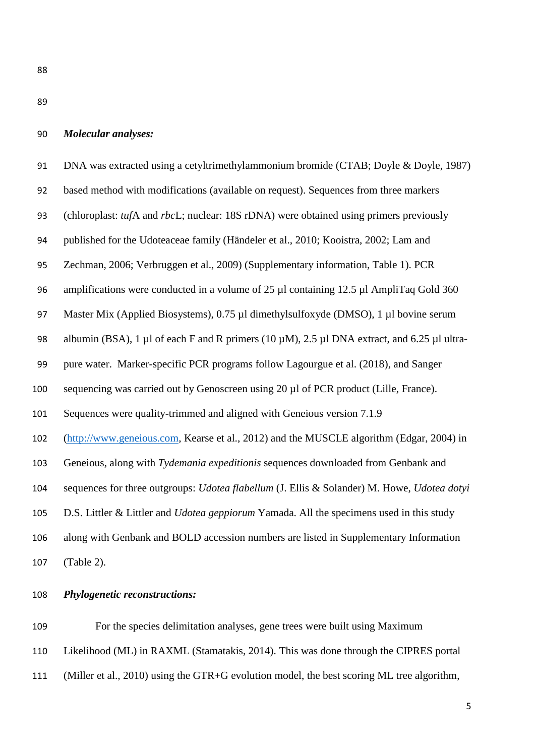#### *Molecular analyses:*

 DNA was extracted using a cetyltrimethylammonium bromide (CTAB; Doyle & Doyle, 1987) based method with modifications (available on request). Sequences from three markers (chloroplast: *tuf*A and *rbc*L; nuclear: 18S rDNA) were obtained using primers previously published for the Udoteaceae family (Händeler et al., 2010; Kooistra, 2002; Lam and Zechman, 2006; Verbruggen et al., 2009) (Supplementary information, Table 1). PCR 96 amplifications were conducted in a volume of 25 µl containing 12.5 µl AmpliTaq Gold 360 97 Master Mix (Applied Biosystems), 0.75 µl dimethylsulfoxyde (DMSO), 1 µl bovine serum 98 albumin (BSA), 1 µl of each F and R primers (10 µM), 2.5 µl DNA extract, and 6.25 µl ultra- pure water. Marker-specific PCR programs follow Lagourgue et al. (2018), and Sanger sequencing was carried out by Genoscreen using 20 µl of PCR product (Lille, France). Sequences were quality-trimmed and aligned with Geneious version 7.1.9 [\(http://www.geneious.com,](http://www.geneious.com/) Kearse et al., 2012) and the MUSCLE algorithm (Edgar, 2004) in Geneious, along with *Tydemania expeditionis* sequences downloaded from Genbank and sequences for three outgroups: *Udotea flabellum* (J. Ellis & Solander) M. Howe, *Udotea dotyi* D.S. Littler & Littler and *Udotea geppiorum* Yamada. All the specimens used in this study along with Genbank and BOLD accession numbers are listed in Supplementary Information (Table 2).

## *Phylogenetic reconstructions:*

For the species delimitation analyses, gene trees were built using Maximum

- Likelihood (ML) in RAXML (Stamatakis, 2014). This was done through the CIPRES portal
- (Miller et al., 2010) using the GTR+G evolution model, the best scoring ML tree algorithm,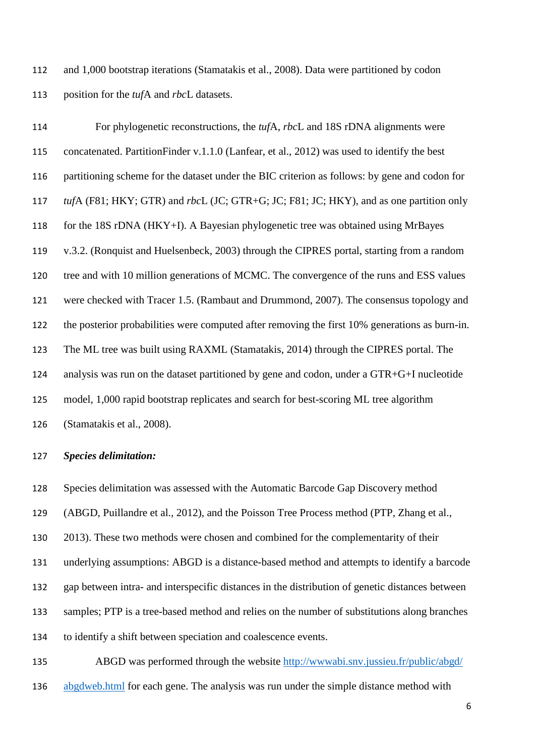and 1,000 bootstrap iterations (Stamatakis et al., 2008). Data were partitioned by codon position for the *tuf*A and *rbc*L datasets.

 For phylogenetic reconstructions, the *tuf*A, *rbc*L and 18S rDNA alignments were concatenated. PartitionFinder v.1.1.0 (Lanfear, et al., 2012) was used to identify the best partitioning scheme for the dataset under the BIC criterion as follows: by gene and codon for *tuf*A (F81; HKY; GTR) and *rbc*L (JC; GTR+G; JC; F81; JC; HKY), and as one partition only for the 18S rDNA (HKY+I). A Bayesian phylogenetic tree was obtained using MrBayes v.3.2. (Ronquist and Huelsenbeck, 2003) through the CIPRES portal, starting from a random tree and with 10 million generations of MCMC. The convergence of the runs and ESS values were checked with Tracer 1.5. (Rambaut and Drummond, 2007). The consensus topology and the posterior probabilities were computed after removing the first 10% generations as burn-in. The ML tree was built using RAXML (Stamatakis, 2014) through the CIPRES portal. The analysis was run on the dataset partitioned by gene and codon, under a GTR+G+I nucleotide model, 1,000 rapid bootstrap replicates and search for best-scoring ML tree algorithm (Stamatakis et al., 2008).

### *Species delimitation:*

 Species delimitation was assessed with the Automatic Barcode Gap Discovery method (ABGD, Puillandre et al., 2012), and the Poisson Tree Process method (PTP, Zhang et al., 2013). These two methods were chosen and combined for the complementarity of their underlying assumptions: ABGD is a distance-based method and attempts to identify a barcode gap between intra- and interspecific distances in the distribution of genetic distances between samples; PTP is a tree-based method and relies on the number of substitutions along branches to identify a shift between speciation and coalescence events. ABGD was performed through the website [http://wwwabi.snv.jussieu.fr/public/abgd/](http://wwwabi.snv.jussieu.fr/public/abgd/%20abgdweb.html) 

[abgdweb.html](http://wwwabi.snv.jussieu.fr/public/abgd/%20abgdweb.html) for each gene. The analysis was run under the simple distance method with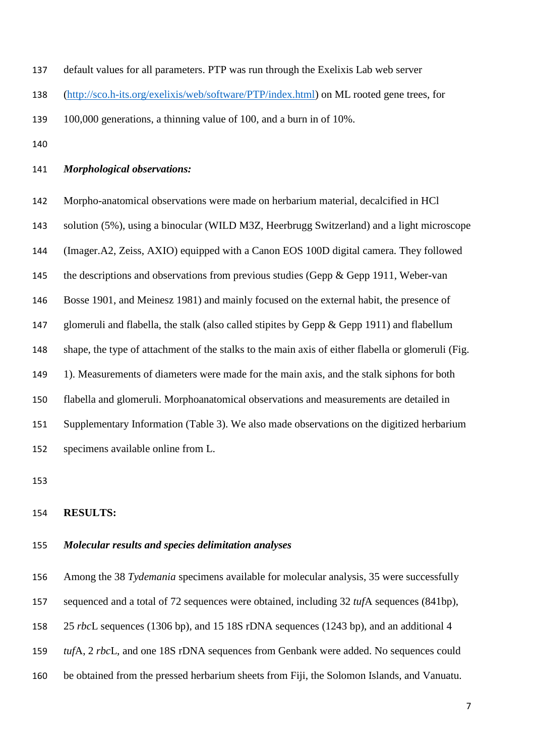default values for all parameters. PTP was run through the Exelixis Lab web server

[\(http://sco.h-its.org/exelixis/web/software/PTP/index.html\)](http://sco.h-its.org/exelixis/web/software/PTP/index.html) on ML rooted gene trees, for

- 100,000 generations, a thinning value of 100, and a burn in of 10%.
- 

#### *Morphological observations:*

 Morpho-anatomical observations were made on herbarium material, decalcified in HCl solution (5%), using a binocular (WILD M3Z, Heerbrugg Switzerland) and a light microscope (Imager.A2, Zeiss, AXIO) equipped with a Canon EOS 100D digital camera. They followed 145 the descriptions and observations from previous studies (Gepp & Gepp 1911, Weber-van Bosse 1901, and Meinesz 1981) and mainly focused on the external habit, the presence of 147 glomeruli and flabella, the stalk (also called stipites by Gepp & Gepp 1911) and flabellum shape, the type of attachment of the stalks to the main axis of either flabella or glomeruli (Fig. 1). Measurements of diameters were made for the main axis, and the stalk siphons for both flabella and glomeruli. Morphoanatomical observations and measurements are detailed in Supplementary Information (Table 3). We also made observations on the digitized herbarium specimens available online from L.

#### **RESULTS:**

## *Molecular results and species delimitation analyses*

Among the 38 *Tydemania* specimens available for molecular analysis, 35 were successfully

sequenced and a total of 72 sequences were obtained, including 32 *tuf*A sequences (841bp),

25 *rbc*L sequences (1306 bp), and 15 18S rDNA sequences (1243 bp), and an additional 4

- *tuf*A, 2 *rbc*L, and one 18S rDNA sequences from Genbank were added. No sequences could
- be obtained from the pressed herbarium sheets from Fiji, the Solomon Islands, and Vanuatu.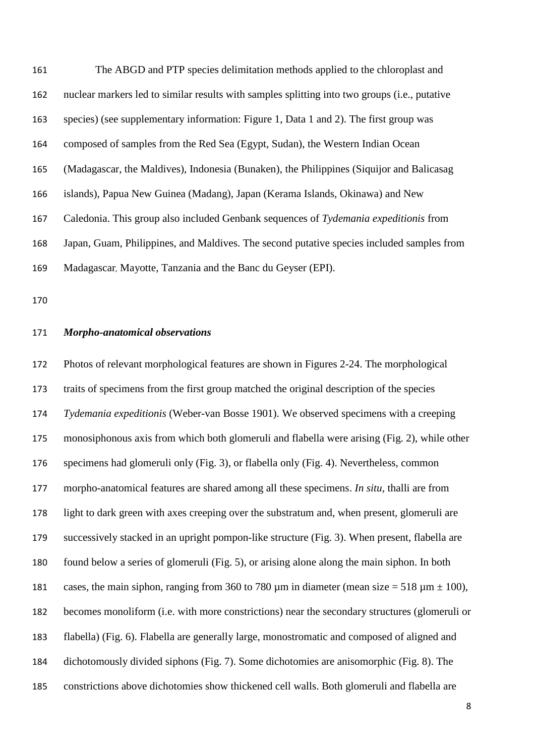The ABGD and PTP species delimitation methods applied to the chloroplast and nuclear markers led to similar results with samples splitting into two groups (i.e., putative species) (see supplementary information: Figure 1, Data 1 and 2). The first group was composed of samples from the Red Sea (Egypt, Sudan), the Western Indian Ocean (Madagascar, the Maldives), Indonesia (Bunaken), the Philippines (Siquijor and Balicasag islands), Papua New Guinea (Madang), Japan (Kerama Islands, Okinawa) and New Caledonia. This group also included Genbank sequences of *Tydemania expeditionis* from Japan, Guam, Philippines, and Maldives. The second putative species included samples from Madagascar, Mayotte, Tanzania and the Banc du Geyser (EPI).

### *Morpho-anatomical observations*

 Photos of relevant morphological features are shown in Figures 2-24. The morphological traits of specimens from the first group matched the original description of the species *Tydemania expeditionis* (Weber-van Bosse 1901). We observed specimens with a creeping monosiphonous axis from which both glomeruli and flabella were arising (Fig. 2), while other specimens had glomeruli only (Fig. 3), or flabella only (Fig. 4). Nevertheless, common morpho-anatomical features are shared among all these specimens. *In situ,* thalli are from light to dark green with axes creeping over the substratum and, when present, glomeruli are successively stacked in an upright pompon-like structure (Fig. 3). When present, flabella are found below a series of glomeruli (Fig. 5), or arising alone along the main siphon. In both 181 cases, the main siphon, ranging from 360 to 780  $\mu$ m in diameter (mean size = 518  $\mu$ m  $\pm$  100), becomes monoliform (i.e. with more constrictions) near the secondary structures (glomeruli or flabella) (Fig. 6). Flabella are generally large, monostromatic and composed of aligned and dichotomously divided siphons (Fig. 7). Some dichotomies are anisomorphic (Fig. 8). The constrictions above dichotomies show thickened cell walls. Both glomeruli and flabella are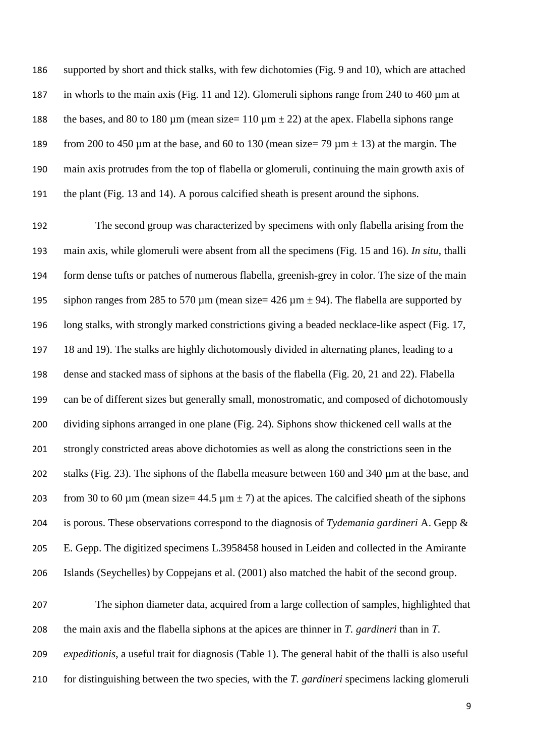supported by short and thick stalks, with few dichotomies (Fig. 9 and 10), which are attached in whorls to the main axis (Fig. 11 and 12). Glomeruli siphons range from 240 to 460 µm at 188 the bases, and 80 to 180  $\mu$ m (mean size= 110  $\mu$ m  $\pm$  22) at the apex. Flabella siphons range 189 from 200 to 450 µm at the base, and 60 to 130 (mean size= 79 µm  $\pm$  13) at the margin. The main axis protrudes from the top of flabella or glomeruli, continuing the main growth axis of the plant (Fig. 13 and 14). A porous calcified sheath is present around the siphons.

 The second group was characterized by specimens with only flabella arising from the main axis, while glomeruli were absent from all the specimens (Fig. 15 and 16). *In situ*, thalli form dense tufts or patches of numerous flabella, greenish-grey in color. The size of the main 195 siphon ranges from 285 to 570 µm (mean size=  $426 \text{ µm} \pm 94$ ). The flabella are supported by long stalks, with strongly marked constrictions giving a beaded necklace-like aspect (Fig. 17, 18 and 19). The stalks are highly dichotomously divided in alternating planes, leading to a dense and stacked mass of siphons at the basis of the flabella (Fig. 20, 21 and 22). Flabella can be of different sizes but generally small, monostromatic, and composed of dichotomously dividing siphons arranged in one plane (Fig. 24). Siphons show thickened cell walls at the strongly constricted areas above dichotomies as well as along the constrictions seen in the stalks (Fig. 23). The siphons of the flabella measure between 160 and 340 µm at the base, and 203 from 30 to 60  $\mu$ m (mean size= 44.5  $\mu$ m  $\pm$  7) at the apices. The calcified sheath of the siphons is porous. These observations correspond to the diagnosis of *Tydemania gardineri* A. Gepp & E. Gepp. The digitized specimens L.3958458 housed in Leiden and collected in the Amirante Islands (Seychelles) by Coppejans et al. (2001) also matched the habit of the second group.

 The siphon diameter data, acquired from a large collection of samples, highlighted that the main axis and the flabella siphons at the apices are thinner in *T. gardineri* than in *T. expeditionis*, a useful trait for diagnosis (Table 1). The general habit of the thalli is also useful for distinguishing between the two species, with the *T. gardineri* specimens lacking glomeruli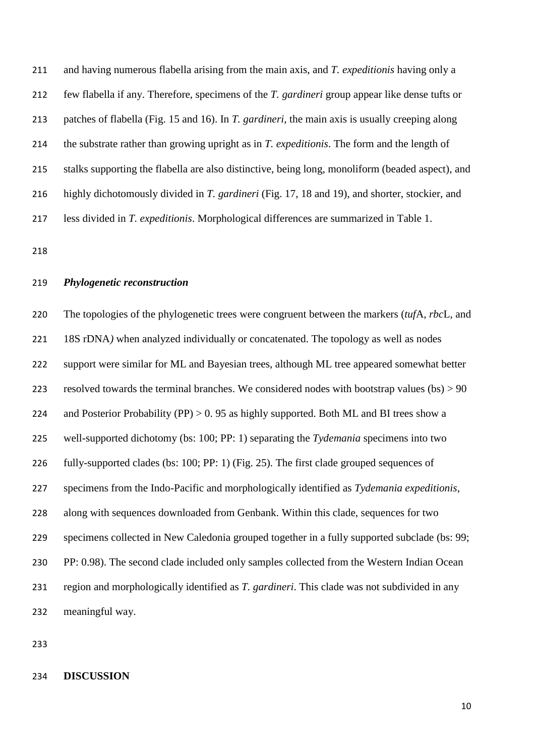and having numerous flabella arising from the main axis, and *T. expeditionis* having only a few flabella if any. Therefore, specimens of the *T. gardineri* group appear like dense tufts or patches of flabella (Fig. 15 and 16). In *T. gardineri*, the main axis is usually creeping along the substrate rather than growing upright as in *T. expeditionis*. The form and the length of stalks supporting the flabella are also distinctive, being long, monoliform (beaded aspect), and highly dichotomously divided in *T. gardineri* (Fig. 17, 18 and 19), and shorter, stockier, and less divided in *T. expeditionis*. Morphological differences are summarized in Table 1.

#### *Phylogenetic reconstruction*

 The topologies of the phylogenetic trees were congruent between the markers (*tuf*A*, rbc*L, and 18S rDNA*)* when analyzed individually or concatenated. The topology as well as nodes 222 support were similar for ML and Bayesian trees, although ML tree appeared somewhat better 223 resolved towards the terminal branches. We considered nodes with bootstrap values  $(bs) > 90$ 224 and Posterior Probability (PP) > 0.95 as highly supported. Both ML and BI trees show a well-supported dichotomy (bs: 100; PP: 1) separating the *Tydemania* specimens into two fully-supported clades (bs: 100; PP: 1) (Fig. 25). The first clade grouped sequences of specimens from the Indo-Pacific and morphologically identified as *Tydemania expeditionis,* along with sequences downloaded from Genbank. Within this clade, sequences for two specimens collected in New Caledonia grouped together in a fully supported subclade (bs: 99; PP: 0.98). The second clade included only samples collected from the Western Indian Ocean region and morphologically identified as *T. gardineri*. This clade was not subdivided in any meaningful way.

#### **DISCUSSION**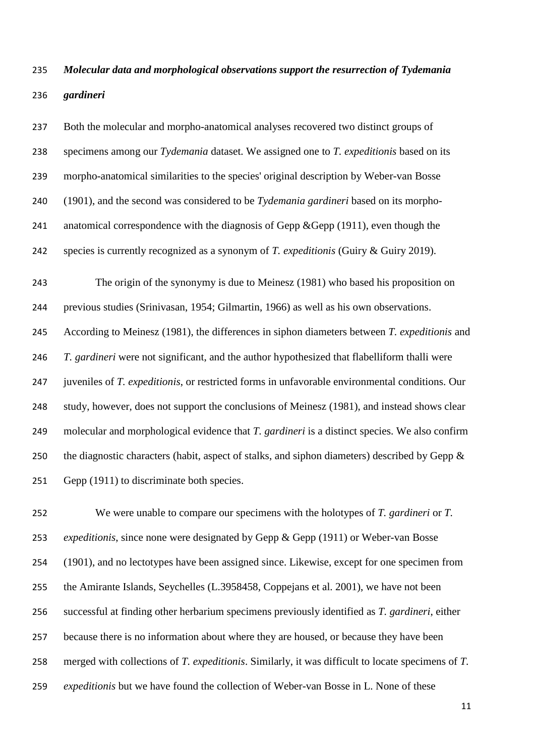# *Molecular data and morphological observations support the resurrection of Tydemania gardineri*

 Both the molecular and morpho-anatomical analyses recovered two distinct groups of specimens among our *Tydemania* dataset. We assigned one to *T. expeditionis* based on its morpho-anatomical similarities to the species' original description by Weber-van Bosse (1901), and the second was considered to be *Tydemania gardineri* based on its morpho-241 anatomical correspondence with the diagnosis of Gepp &Gepp (1911), even though the species is currently recognized as a synonym of *T. expeditionis* (Guiry & Guiry 2019). The origin of the synonymy is due to Meinesz (1981) who based his proposition on previous studies (Srinivasan, 1954; Gilmartin, 1966) as well as his own observations. According to Meinesz (1981), the differences in siphon diameters between *T. expeditionis* and *T. gardineri* were not significant, and the author hypothesized that flabelliform thalli were

 juveniles of *T. expeditionis*, or restricted forms in unfavorable environmental conditions. Our study, however, does not support the conclusions of Meinesz (1981), and instead shows clear molecular and morphological evidence that *T. gardineri* is a distinct species. We also confirm 250 the diagnostic characters (habit, aspect of stalks, and siphon diameters) described by Gepp  $\&$ Gepp (1911) to discriminate both species.

 We were unable to compare our specimens with the holotypes of *T. gardineri* or *T. expeditionis*, since none were designated by Gepp & Gepp (1911) or Weber-van Bosse (1901), and no lectotypes have been assigned since. Likewise, except for one specimen from the Amirante Islands, Seychelles (L.3958458, Coppejans et al. 2001), we have not been successful at finding other herbarium specimens previously identified as *T. gardineri*, either because there is no information about where they are housed, or because they have been merged with collections of *T. expeditionis*. Similarly, it was difficult to locate specimens of *T. expeditionis* but we have found the collection of Weber-van Bosse in L. None of these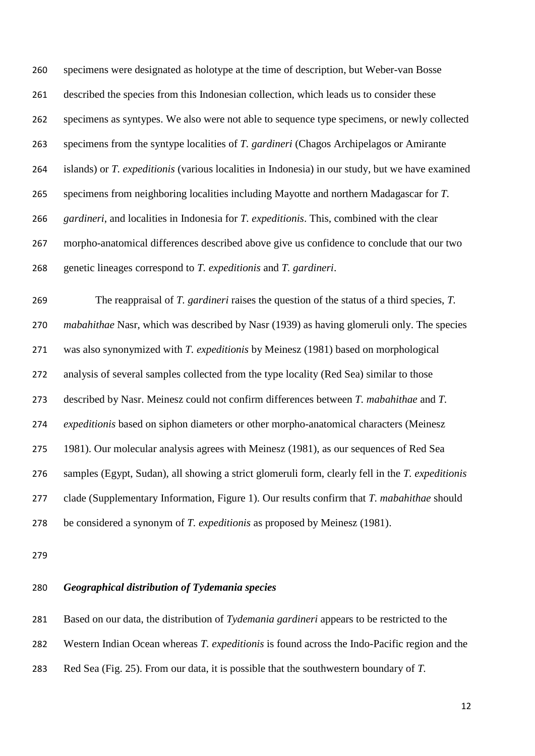specimens were designated as holotype at the time of description, but Weber-van Bosse described the species from this Indonesian collection, which leads us to consider these specimens as syntypes. We also were not able to sequence type specimens, or newly collected specimens from the syntype localities of *T. gardineri* (Chagos Archipelagos or Amirante islands) or *T. expeditionis* (various localities in Indonesia) in our study, but we have examined specimens from neighboring localities including Mayotte and northern Madagascar for *T. gardineri*, and localities in Indonesia for *T. expeditionis*. This, combined with the clear morpho-anatomical differences described above give us confidence to conclude that our two genetic lineages correspond to *T. expeditionis* and *T. gardineri*.

 The reappraisal of *T. gardineri* raises the question of the status of a third species, *T. mabahithae* Nasr, which was described by Nasr (1939) as having glomeruli only. The species was also synonymized with *T. expeditionis* by Meinesz (1981) based on morphological analysis of several samples collected from the type locality (Red Sea) similar to those described by Nasr. Meinesz could not confirm differences between *T. mabahithae* and *T. expeditionis* based on siphon diameters or other morpho-anatomical characters (Meinesz 1981). Our molecular analysis agrees with Meinesz (1981), as our sequences of Red Sea samples (Egypt, Sudan), all showing a strict glomeruli form, clearly fell in the *T. expeditionis* clade (Supplementary Information, Figure 1). Our results confirm that *T. mabahithae* should be considered a synonym of *T. expeditionis* as proposed by Meinesz (1981).

### *Geographical distribution of Tydemania species*

Based on our data, the distribution of *Tydemania gardineri* appears to be restricted to the

Western Indian Ocean whereas *T. expeditionis* is found across the Indo-Pacific region and the

Red Sea (Fig. 25). From our data, it is possible that the southwestern boundary of *T.*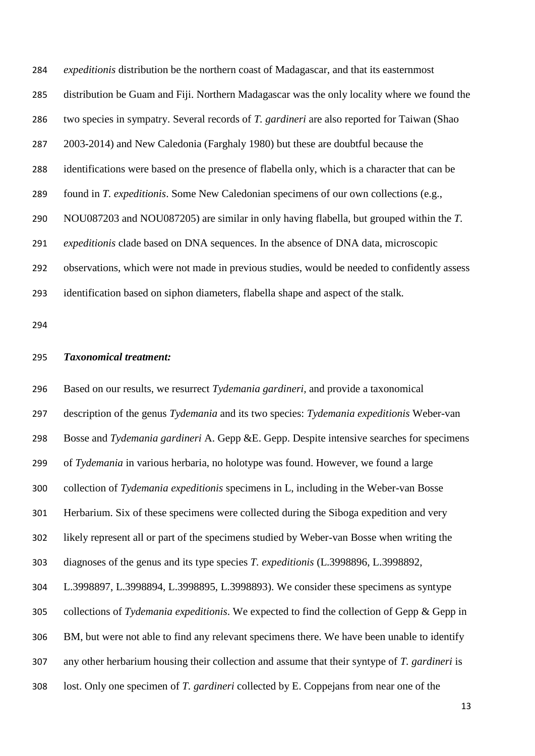*expeditionis* distribution be the northern coast of Madagascar, and that its easternmost distribution be Guam and Fiji. Northern Madagascar was the only locality where we found the two species in sympatry. Several records of *T. gardineri* are also reported for Taiwan (Shao 2003-2014) and New Caledonia (Farghaly 1980) but these are doubtful because the identifications were based on the presence of flabella only, which is a character that can be found in *T. expeditionis*. Some New Caledonian specimens of our own collections (e.g., NOU087203 and NOU087205) are similar in only having flabella, but grouped within the *T. expeditionis* clade based on DNA sequences. In the absence of DNA data, microscopic observations, which were not made in previous studies, would be needed to confidently assess identification based on siphon diameters, flabella shape and aspect of the stalk*.*

#### *Taxonomical treatment:*

 Based on our results, we resurrect *Tydemania gardineri,* and provide a taxonomical description of the genus *Tydemania* and its two species: *Tydemania expeditionis* Weber-van Bosse and *Tydemania gardineri* A. Gepp &E. Gepp. Despite intensive searches for specimens of *Tydemania* in various herbaria, no holotype was found. However, we found a large collection of *Tydemania expeditionis* specimens in L, including in the Weber-van Bosse Herbarium. Six of these specimens were collected during the Siboga expedition and very likely represent all or part of the specimens studied by Weber-van Bosse when writing the diagnoses of the genus and its type species *T. expeditionis* (L.3998896, L.3998892, L.3998897, L.3998894, L.3998895, L.3998893). We consider these specimens as syntype collections of *Tydemania expeditionis*. We expected to find the collection of Gepp & Gepp in BM, but were not able to find any relevant specimens there. We have been unable to identify any other herbarium housing their collection and assume that their syntype of *T. gardineri* is lost. Only one specimen of *T. gardineri* collected by E. Coppejans from near one of the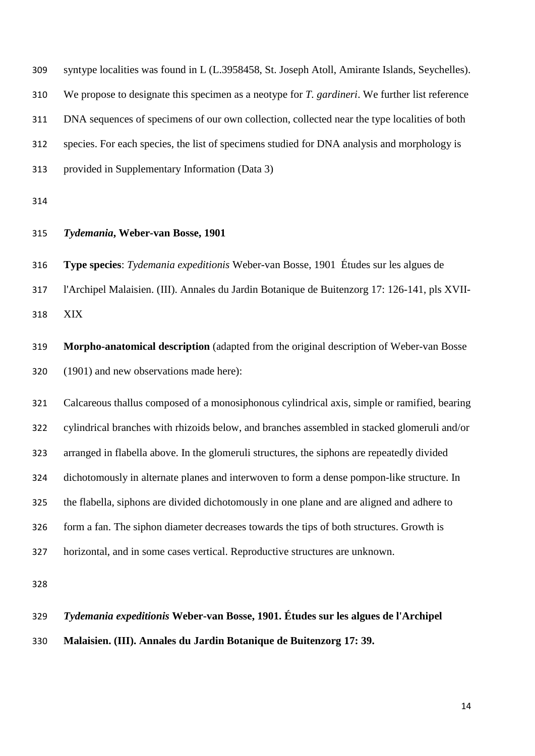| 309 | syntype localities was found in L (L.3958458, St. Joseph Atoll, Amirante Islands, Seychelles). |
|-----|------------------------------------------------------------------------------------------------|
| 310 | We propose to designate this specimen as a neotype for T. gardineri. We further list reference |
| 311 | DNA sequences of specimens of our own collection, collected near the type localities of both   |
| 312 | species. For each species, the list of specimens studied for DNA analysis and morphology is    |
| 313 | provided in Supplementary Information (Data 3)                                                 |
|     |                                                                                                |

## *Tydemania***, Weber-van Bosse, 1901**

**Type species**: *Tydemania expeditionis* Weber-van Bosse, 1901 Études sur les algues de

l'Archipel Malaisien. (III). Annales du Jardin Botanique de Buitenzorg 17: 126-141, pls XVII-

XIX

 **Morpho-anatomical description** (adapted from the original description of Weber-van Bosse (1901) and new observations made here):

 Calcareous thallus composed of a monosiphonous cylindrical axis, simple or ramified, bearing cylindrical branches with rhizoids below, and branches assembled in stacked glomeruli and/or arranged in flabella above. In the glomeruli structures, the siphons are repeatedly divided dichotomously in alternate planes and interwoven to form a dense pompon-like structure. In the flabella, siphons are divided dichotomously in one plane and are aligned and adhere to form a fan. The siphon diameter decreases towards the tips of both structures. Growth is horizontal, and in some cases vertical. Reproductive structures are unknown.

 *Tydemania expeditionis* **Weber-van Bosse, 1901. Études sur les algues de l'Archipel Malaisien. (III). Annales du Jardin Botanique de Buitenzorg 17: 39.**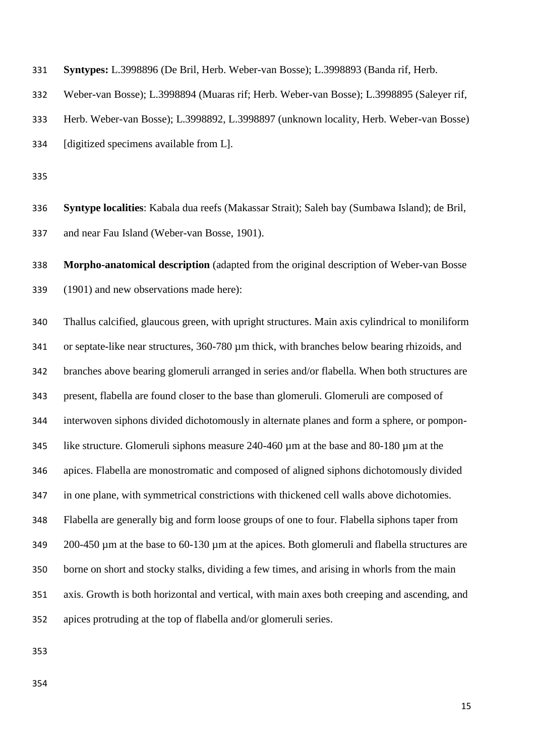| 331 |  | <b>Syntypes:</b> L.3998896 (De Bril, Herb. Weber-van Bosse); L.3998893 (Banda rif, Herb. |
|-----|--|------------------------------------------------------------------------------------------|
|     |  |                                                                                          |

Weber-van Bosse); L.3998894 (Muaras rif; Herb. Weber-van Bosse); L.3998895 (Saleyer rif,

Herb. Weber-van Bosse); L.3998892, L.3998897 (unknown locality, Herb. Weber-van Bosse)

[digitized specimens available from L].

 **Syntype localities**: Kabala dua reefs (Makassar Strait); Saleh bay (Sumbawa Island); de Bril, and near Fau Island (Weber-van Bosse, 1901).

 **Morpho-anatomical description** (adapted from the original description of Weber-van Bosse (1901) and new observations made here):

 Thallus calcified, glaucous green, with upright structures. Main axis cylindrical to moniliform or septate-like near structures, 360-780 µm thick, with branches below bearing rhizoids, and branches above bearing glomeruli arranged in series and/or flabella. When both structures are present, flabella are found closer to the base than glomeruli. Glomeruli are composed of interwoven siphons divided dichotomously in alternate planes and form a sphere, or pompon- like structure. Glomeruli siphons measure 240-460 µm at the base and 80-180 µm at the apices. Flabella are monostromatic and composed of aligned siphons dichotomously divided in one plane, with symmetrical constrictions with thickened cell walls above dichotomies. Flabella are generally big and form loose groups of one to four. Flabella siphons taper from 349 200-450 µm at the base to 60-130 µm at the apices. Both glomeruli and flabella structures are borne on short and stocky stalks, dividing a few times, and arising in whorls from the main axis. Growth is both horizontal and vertical, with main axes both creeping and ascending, and apices protruding at the top of flabella and/or glomeruli series.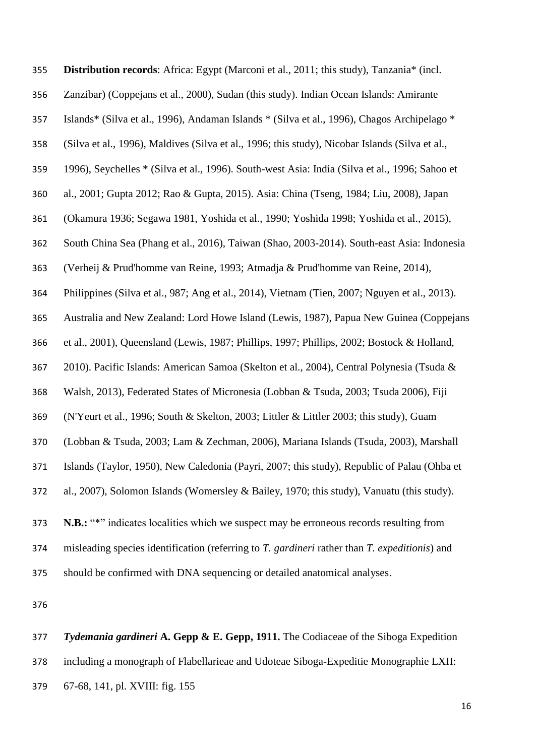| 355 | Distribution records: Africa: Egypt (Marconi et al., 2011; this study), Tanzania* (incl.        |
|-----|-------------------------------------------------------------------------------------------------|
| 356 | Zanzibar) (Coppejans et al., 2000), Sudan (this study). Indian Ocean Islands: Amirante          |
| 357 | Islands* (Silva et al., 1996), Andaman Islands * (Silva et al., 1996), Chagos Archipelago *     |
| 358 | (Silva et al., 1996), Maldives (Silva et al., 1996; this study), Nicobar Islands (Silva et al., |
| 359 | 1996), Seychelles * (Silva et al., 1996). South-west Asia: India (Silva et al., 1996; Sahoo et  |
| 360 | al., 2001; Gupta 2012; Rao & Gupta, 2015). Asia: China (Tseng, 1984; Liu, 2008), Japan          |
| 361 | (Okamura 1936; Segawa 1981, Yoshida et al., 1990; Yoshida 1998; Yoshida et al., 2015),          |
| 362 | South China Sea (Phang et al., 2016), Taiwan (Shao, 2003-2014). South-east Asia: Indonesia      |
| 363 | (Verheij & Prud'homme van Reine, 1993; Atmadja & Prud'homme van Reine, 2014),                   |
| 364 | Philippines (Silva et al., 987; Ang et al., 2014), Vietnam (Tien, 2007; Nguyen et al., 2013).   |
| 365 | Australia and New Zealand: Lord Howe Island (Lewis, 1987), Papua New Guinea (Coppejans          |
| 366 | et al., 2001), Queensland (Lewis, 1987; Phillips, 1997; Phillips, 2002; Bostock & Holland,      |
| 367 | 2010). Pacific Islands: American Samoa (Skelton et al., 2004), Central Polynesia (Tsuda &       |
| 368 | Walsh, 2013), Federated States of Micronesia (Lobban & Tsuda, 2003; Tsuda 2006), Fiji           |
| 369 | (N'Yeurt et al., 1996; South & Skelton, 2003; Littler & Littler 2003; this study), Guam         |
| 370 | (Lobban & Tsuda, 2003; Lam & Zechman, 2006), Mariana Islands (Tsuda, 2003), Marshall            |
| 371 | Islands (Taylor, 1950), New Caledonia (Payri, 2007; this study), Republic of Palau (Ohba et     |
| 372 | al., 2007), Solomon Islands (Womersley & Bailey, 1970; this study), Vanuatu (this study).       |
| 373 | N.B.: "*" indicates localities which we suspect may be erroneous records resulting from         |
| 374 | misleading species identification (referring to T. gardineri rather than T. expeditionis) and   |
| 375 | should be confirmed with DNA sequencing or detailed anatomical analyses.                        |
| 376 |                                                                                                 |

 *Tydemania gardineri* **A. Gepp & E. Gepp, 1911.** The Codiaceae of the Siboga Expedition including a monograph of Flabellarieae and Udoteae Siboga-Expeditie Monographie LXII: 67-68, 141, pl. XVIII: fig. 155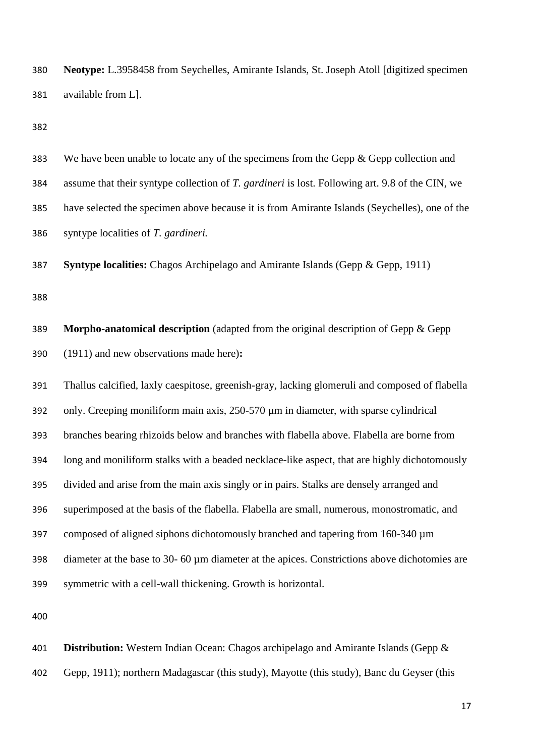**Neotype:** L.3958458 from Seychelles, Amirante Islands, St. Joseph Atoll [digitized specimen available from L].

 We have been unable to locate any of the specimens from the Gepp & Gepp collection and assume that their syntype collection of *T. gardineri* is lost. Following art. 9.8 of the CIN, we have selected the specimen above because it is from Amirante Islands (Seychelles), one of the syntype localities of *T. gardineri.*

**Syntype localities:** Chagos Archipelago and Amirante Islands (Gepp & Gepp, 1911)

 **Morpho-anatomical description** (adapted from the original description of Gepp & Gepp (1911) and new observations made here)**:**

 Thallus calcified, laxly caespitose, greenish-gray, lacking glomeruli and composed of flabella only. Creeping moniliform main axis, 250-570 µm in diameter, with sparse cylindrical branches bearing rhizoids below and branches with flabella above. Flabella are borne from long and moniliform stalks with a beaded necklace-like aspect, that are highly dichotomously divided and arise from the main axis singly or in pairs. Stalks are densely arranged and superimposed at the basis of the flabella. Flabella are small, numerous, monostromatic, and composed of aligned siphons dichotomously branched and tapering from 160-340 µm diameter at the base to 30- 60 µm diameter at the apices. Constrictions above dichotomies are symmetric with a cell-wall thickening. Growth is horizontal.

 **Distribution:** Western Indian Ocean: Chagos archipelago and Amirante Islands (Gepp & Gepp, 1911); northern Madagascar (this study), Mayotte (this study), Banc du Geyser (this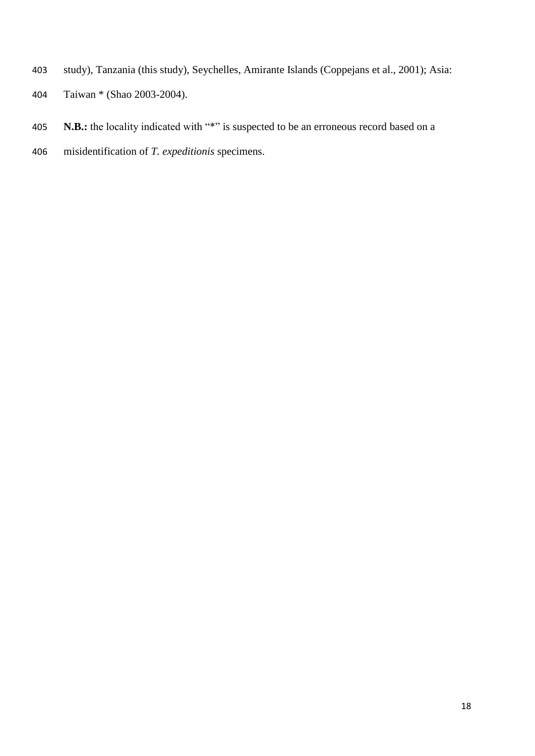- study), Tanzania (this study), Seychelles, Amirante Islands (Coppejans et al., 2001); Asia:
- Taiwan \* (Shao 2003-2004).
- **N.B.:** the locality indicated with "\*" is suspected to be an erroneous record based on a
- misidentification of *T. expeditionis* specimens.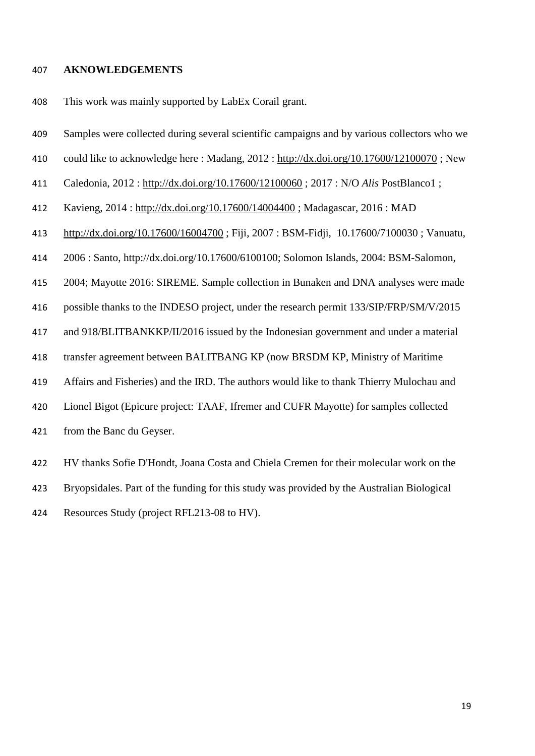#### **AKNOWLEDGEMENTS**

This work was mainly supported by LabEx Corail grant.

- Samples were collected during several scientific campaigns and by various collectors who we
- could like to acknowledge here : Madang, 2012 :<http://dx.doi.org/10.17600/12100070> ; New
- Caledonia, 2012 :<http://dx.doi.org/10.17600/12100060> ; 2017 : N/O *Alis* PostBlanco1 ;
- Kavieng, 2014 :<http://dx.doi.org/10.17600/14004400> ; Madagascar, 2016 : MAD
- <http://dx.doi.org/10.17600/16004700> ; Fiji, 2007 : BSM-Fidji, 10.17600/7100030 ; Vanuatu,
- 2006 : Santo, http://dx.doi.org/10.17600/6100100; Solomon Islands, 2004: BSM-Salomon,
- 2004; Mayotte 2016: SIREME. Sample collection in Bunaken and DNA analyses were made
- possible thanks to the INDESO project, under the research permit 133/SIP/FRP/SM/V/2015
- and 918/BLITBANKKP/II/2016 issued by the Indonesian government and under a material
- transfer agreement between BALITBANG KP (now BRSDM KP, Ministry of Maritime
- Affairs and Fisheries) and the IRD. The authors would like to thank Thierry Mulochau and
- Lionel Bigot (Epicure project: TAAF, Ifremer and CUFR Mayotte) for samples collected
- from the Banc du Geyser.

 HV thanks Sofie D'Hondt, Joana Costa and Chiela Cremen for their molecular work on the Bryopsidales. Part of the funding for this study was provided by the Australian Biological Resources Study (project RFL213-08 to HV).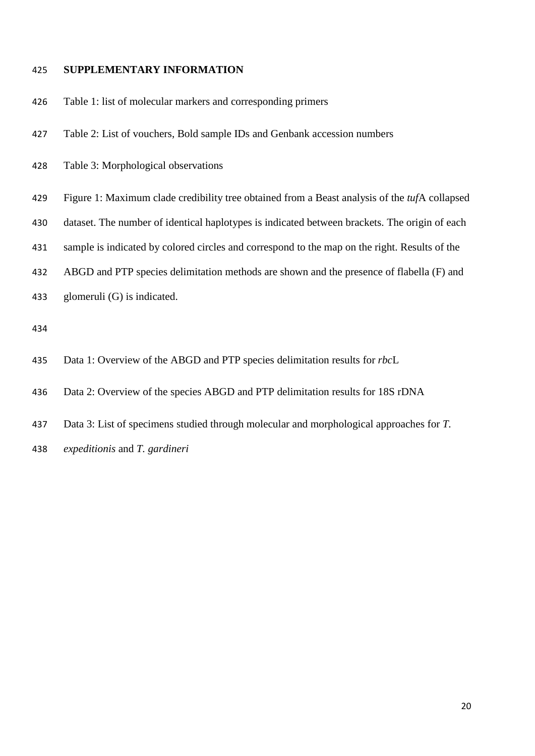## **SUPPLEMENTARY INFORMATION**

- Table 1: list of molecular markers and corresponding primers
- Table 2: List of vouchers, Bold sample IDs and Genbank accession numbers
- Table 3: Morphological observations
- Figure 1: Maximum clade credibility tree obtained from a Beast analysis of the *tuf*A collapsed
- dataset. The number of identical haplotypes is indicated between brackets. The origin of each
- sample is indicated by colored circles and correspond to the map on the right. Results of the
- ABGD and PTP species delimitation methods are shown and the presence of flabella (F) and
- glomeruli (G) is indicated.

- Data 1: Overview of the ABGD and PTP species delimitation results for *rbc*L
- Data 2: Overview of the species ABGD and PTP delimitation results for 18S rDNA
- Data 3: List of specimens studied through molecular and morphological approaches for *T.*
- *expeditionis* and *T. gardineri*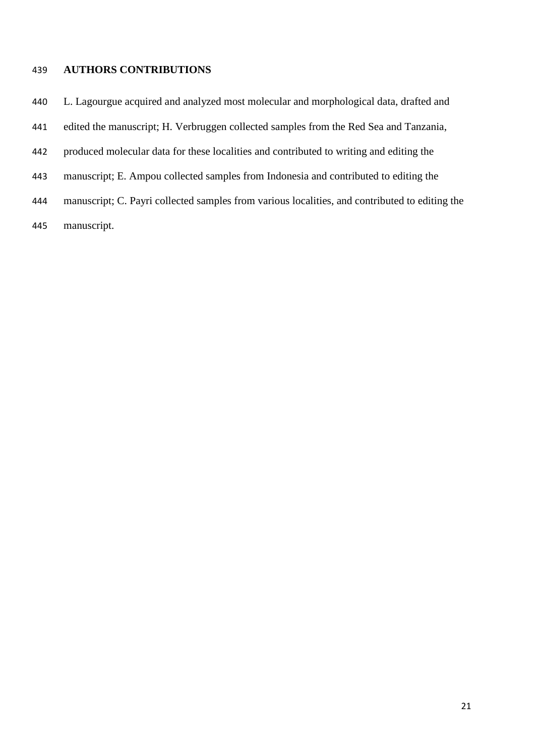## **AUTHORS CONTRIBUTIONS**

L. Lagourgue acquired and analyzed most molecular and morphological data, drafted and

edited the manuscript; H. Verbruggen collected samples from the Red Sea and Tanzania,

- produced molecular data for these localities and contributed to writing and editing the
- manuscript; E. Ampou collected samples from Indonesia and contributed to editing the
- manuscript; C. Payri collected samples from various localities, and contributed to editing the
- manuscript.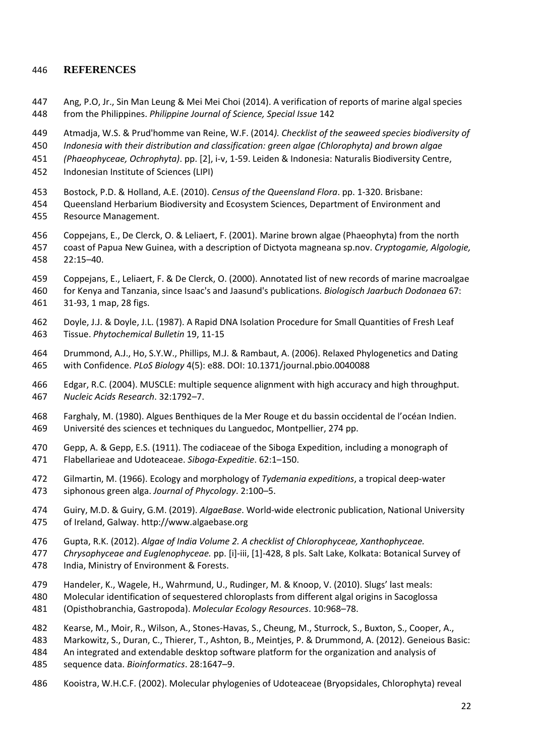### **REFERENCES**

- Ang, P.O, Jr., Sin Man Leung & Mei Mei Choi (2014). A verification of reports of marine algal species from the Philippines. *Philippine Journal of Science, Special Issue* 142
- Atmadja, W.S. & Prud'homme van Reine, W.F. (2014*). Checklist of the seaweed species biodiversity of*
- *Indonesia with their distribution and classification: green algae (Chlorophyta) and brown algae*
- *(Phaeophyceae, Ochrophyta)*. pp. [2], i-v, 1-59. Leiden & Indonesia: Naturalis Biodiversity Centre,
- Indonesian Institute of Sciences (LIPI)
- Bostock, P.D. & Holland, A.E. (2010). *Census of the Queensland Flora*. pp. 1-320. Brisbane:
- Queensland Herbarium Biodiversity and Ecosystem Sciences, Department of Environment and Resource Management.
- Coppejans, E., De Clerck, O. & Leliaert, F. (2001). Marine brown algae (Phaeophyta) from the north coast of Papua New Guinea, with a description of Dictyota magneana sp.nov. *Cryptogamie, Algologie,* 22:15–40.
- Coppejans, E., Leliaert, F. & De Clerck, O. (2000). Annotated list of new records of marine macroalgae
- for Kenya and Tanzania, since Isaac's and Jaasund's publications. *Biologisch Jaarbuch Dodonaea* 67: 31-93, 1 map, 28 figs.
- Doyle, J.J. & Doyle, J.L. (1987). A Rapid DNA Isolation Procedure for Small Quantities of Fresh Leaf Tissue. *Phytochemical Bulletin* 19, 11-15
- Drummond, A.J., Ho, S.Y.W., Phillips, M.J. & Rambaut, A. (2006). Relaxed Phylogenetics and Dating with Confidence. *PLoS Biology* 4(5): e88. DOI: 10.1371/journal.pbio.0040088
- Edgar, R.C. (2004). MUSCLE: multiple sequence alignment with high accuracy and high throughput. *Nucleic Acids Research*. 32:1792–7.
- Farghaly, M. (1980). Algues Benthiques de la Mer Rouge et du bassin occidental de l'océan Indien. Université des sciences et techniques du Languedoc, Montpellier, 274 pp.
- Gepp, A. & Gepp, E.S. (1911). The codiaceae of the Siboga Expedition, including a monograph of Flabellarieae and Udoteaceae. *Siboga-Expeditie*. 62:1–150.
- Gilmartin, M. (1966). Ecology and morphology of *Tydemania expeditions*, a tropical deep-water siphonous green alga. *Journal of Phycology*. 2:100–5.
- Guiry, M.D. & Guiry, G.M. (2019). *AlgaeBase*. World-wide electronic publication, National University of Ireland, Galway. http://www.algaebase.org
- Gupta, R.K. (2012). *Algae of India Volume 2. A checklist of Chlorophyceae, Xanthophyceae.*
- *Chrysophyceae and Euglenophyceae.* pp. [i]-iii, [1]-428, 8 pls. Salt Lake, Kolkata: Botanical Survey of India, Ministry of Environment & Forests.
- Handeler, K., Wagele, H., Wahrmund, U., Rudinger, M. & Knoop, V. (2010). Slugs' last meals:
- Molecular identification of sequestered chloroplasts from different algal origins in Sacoglossa
- (Opisthobranchia, Gastropoda). *Molecular Ecology Resources*. 10:968–78.
- Kearse, M., Moir, R., Wilson, A., Stones-Havas, S., Cheung, M., Sturrock, S., Buxton, S., Cooper, A.,
- Markowitz, S., Duran, C., Thierer, T., Ashton, B., Meintjes, P. & Drummond, A. (2012). Geneious Basic: An integrated and extendable desktop software platform for the organization and analysis of
- sequence data. *Bioinformatics*. 28:1647–9.
- Kooistra, W.H.C.F. (2002). Molecular phylogenies of Udoteaceae (Bryopsidales, Chlorophyta) reveal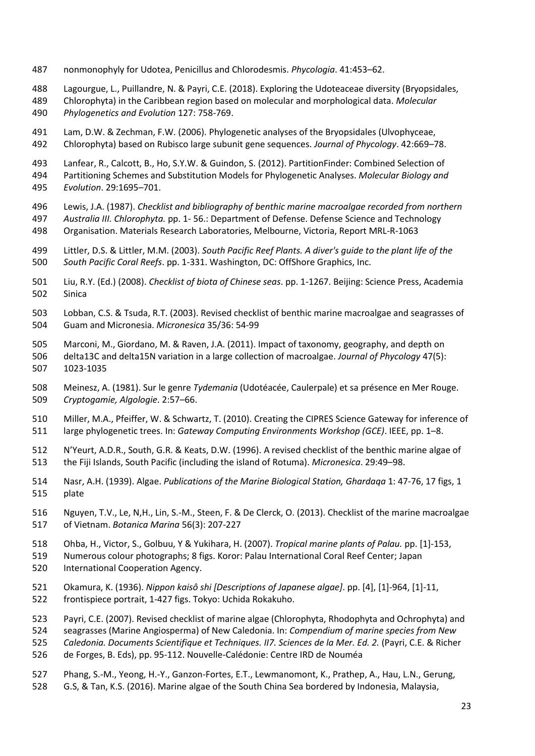- nonmonophyly for Udotea, Penicillus and Chlorodesmis. *Phycologia*. 41:453–62.
- Lagourgue, L., Puillandre, N. & Payri, C.E. (2018). Exploring the Udoteaceae diversity (Bryopsidales,
- Chlorophyta) in the Caribbean region based on molecular and morphological data. *Molecular Phylogenetics and Evolution* 127: 758-769.

 Lam, D.W. & Zechman, F.W. (2006). Phylogenetic analyses of the Bryopsidales (Ulvophyceae, Chlorophyta) based on Rubisco large subunit gene sequences. *Journal of Phycology*. 42:669–78.

 Lanfear, R., Calcott, B., Ho, S.Y.W. & Guindon, S. (2012). PartitionFinder: Combined Selection of Partitioning Schemes and Substitution Models for Phylogenetic Analyses. *Molecular Biology and Evolution*. 29:1695–701.

- Lewis, J.A. (1987). *Checklist and bibliography of benthic marine macroalgae recorded from northern Australia III. Chlorophyta.* pp. 1- 56.: Department of Defense. Defense Science and Technology Organisation. Materials Research Laboratories, Melbourne, Victoria, Report MRL-R-1063
- Littler, D.S. & Littler, M.M. (2003). *South Pacific Reef Plants. A diver's guide to the plant life of the*
- *South Pacific Coral Reefs*. pp. 1-331. Washington, DC: OffShore Graphics, Inc.
- Liu, R.Y. (Ed.) (2008). *Checklist of biota of Chinese seas*. pp. 1-1267. Beijing: Science Press, Academia Sinica
- Lobban, C.S. & Tsuda, R.T. (2003). Revised checklist of benthic marine macroalgae and seagrasses of Guam and Micronesia. *Micronesica* 35/36: 54-99
- Marconi, M., Giordano, M. & Raven, J.A. (2011). Impact of taxonomy, geography, and depth on
- delta13C and delta15N variation in a large collection of macroalgae. *Journal of Phycology* 47(5): 1023-1035
- Meinesz, A. (1981). Sur le genre *Tydemania* (Udotéacée, Caulerpale) et sa présence en Mer Rouge. *Cryptogamie, Algologie*. 2:57–66.
- Miller, M.A., Pfeiffer, W. & Schwartz, T. (2010). Creating the CIPRES Science Gateway for inference of large phylogenetic trees. In: *Gateway Computing Environments Workshop (GCE)*. IEEE, pp. 1–8.
- N'Yeurt, A.D.R., South, G.R. & Keats, D.W. (1996). A revised checklist of the benthic marine algae of the Fiji Islands, South Pacific (including the island of Rotuma). *Micronesica*. 29:49–98.
- Nasr, A.H. (1939). Algae. *Publications of the Marine Biological Station, Ghardaqa* 1: 47-76, 17 figs, 1 plate
- Nguyen, T.V., Le, N,H., Lin, S.-M., Steen, F. & De Clerck, O. (2013). Checklist of the marine macroalgae of Vietnam. *Botanica Marina* 56(3): 207-227
- Ohba, H., Victor, S., Golbuu, Y & Yukihara, H. (2007). *Tropical marine plants of Palau.* pp. [1]-153,
- Numerous colour photographs; 8 figs. Koror: Palau International Coral Reef Center; Japan International Cooperation Agency.
- Okamura, K. (1936). *Nippon kaisô shi [Descriptions of Japanese algae]*. pp. [4], [1]-964, [1]-11, frontispiece portrait, 1-427 figs. Tokyo: Uchida Rokakuho.
- Payri, C.E. (2007). Revised checklist of marine algae (Chlorophyta, Rhodophyta and Ochrophyta) and
- seagrasses (Marine Angiosperma) of New Caledonia. In: *Compendium of marine species from New*
- *Caledonia. Documents Scientifique et Techniques. II7. Sciences de la Mer. Ed. 2.* (Payri, C.E. & Richer
- de Forges, B. Eds), pp. 95-112. Nouvelle-Calédonie: Centre IRD de Nouméa
- Phang, S.-M., Yeong, H.-Y., Ganzon-Fortes, E.T., Lewmanomont, K., Prathep, A., Hau, L.N., Gerung,
- G.S, & Tan, K.S. (2016). Marine algae of the South China Sea bordered by Indonesia, Malaysia,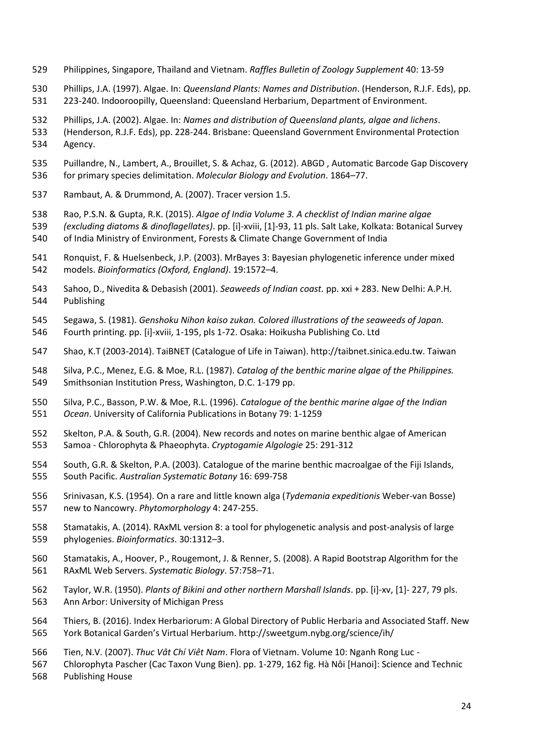- Philippines, Singapore, Thailand and Vietnam. *Raffles Bulletin of Zoology Supplement* 40: 13-59
- Phillips, J.A. (1997). Algae. In: *Queensland Plants: Names and Distribution*. (Henderson, R.J.F. Eds), pp. 223-240. Indooroopilly, Queensland: Queensland Herbarium, Department of Environment.
- Phillips, J.A. (2002). Algae. In: *Names and distribution of Queensland plants, algae and lichens*.
- (Henderson, R.J.F. Eds), pp. 228-244. Brisbane: Queensland Government Environmental Protection Agency.
- Puillandre, N., Lambert, A., Brouillet, S. & Achaz, G. (2012). ABGD , Automatic Barcode Gap Discovery for primary species delimitation. *Molecular Biology and Evolution*. 1864–77.
- Rambaut, A. & Drummond, A. (2007). Tracer version 1.5.
- Rao, P.S.N. & Gupta, R.K. (2015). *Algae of India Volume 3. A checklist of Indian marine algae*
- *(excluding diatoms & dinoflagellates)*. pp. [i]-xviii, [1]-93, 11 pls. Salt Lake, Kolkata: Botanical Survey of India Ministry of Environment, Forests & Climate Change Government of India
- Ronquist, F. & Huelsenbeck, J.P. (2003). MrBayes 3: Bayesian phylogenetic inference under mixed models. *Bioinformatics (Oxford, England)*. 19:1572–4.
- Sahoo, D., Nivedita & Debasish (2001). *Seaweeds of Indian coast.* pp. xxi + 283. New Delhi: A.P.H. Publishing
- Segawa, S. (1981). *Genshoku Nihon kaiso zukan. Colored illustrations of the seaweeds of Japan.*  Fourth printing. pp. [i]-xviii, 1-195, pls 1-72. Osaka: Hoikusha Publishing Co. Ltd
- Shao, K.T (2003-2014). TaiBNET (Catalogue of Life in Taiwan). http://taibnet.sinica.edu.tw. Taiwan
- Silva, P.C., Menez, E.G. & Moe, R.L. (1987). *Catalog of the benthic marine algae of the Philippines.* Smithsonian Institution Press, Washington, D.C. 1-179 pp.
- Silva, P.C., Basson, P.W. & Moe, R.L. (1996). *Catalogue of the benthic marine algae of the Indian Ocean*. University of California Publications in Botany 79: 1-1259
- Skelton, P.A. & South, G.R. (2004). New records and notes on marine benthic algae of American Samoa - Chlorophyta & Phaeophyta. *Cryptogamie Algologie* 25: 291-312
- South, G.R. & Skelton, P.A. (2003). Catalogue of the marine benthic macroalgae of the Fiji Islands, South Pacific. *Australian Systematic Botany* 16: 699-758
- Srinivasan, K.S. (1954). On a rare and little known alga (*Tydemania expeditionis* Weber-van Bosse) new to Nancowry. *Phytomorphology* 4: 247-255.
- Stamatakis, A. (2014). RAxML version 8: a tool for phylogenetic analysis and post-analysis of large phylogenies. *Bioinformatics*. 30:1312–3.
- Stamatakis, A., Hoover, P., Rougemont, J. & Renner, S. (2008). A Rapid Bootstrap Algorithm for the RAxML Web Servers. *Systematic Biology*. 57:758–71.
- Taylor, W.R. (1950). *Plants of Bikini and other northern Marshall Islands*. pp. [i]-xv, [1]- 227, 79 pls. Ann Arbor: University of Michigan Press
- Thiers, B. (2016). Index Herbariorum: A Global Directory of Public Herbaria and Associated Staff. New York Botanical Garden's Virtual Herbarium. http://sweetgum.nybg.org/science/ih/
- Tien, N.V. (2007). *Thuc Vât Chí Viêt Nam*. Flora of Vietnam. Volume 10: Nganh Rong Luc -
- Chlorophyta Pascher (Cac Taxon Vung Bien). pp. 1-279, 162 fig. Hà Nôi [Hanoi]: Science and Technic Publishing House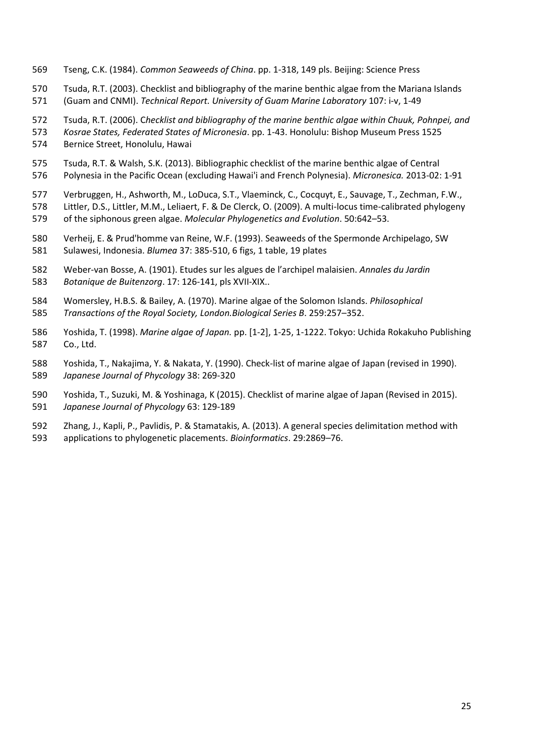- Tseng, C.K. (1984). *Common Seaweeds of China*. pp. 1-318, 149 pls. Beijing: Science Press
- Tsuda, R.T. (2003). Checklist and bibliography of the marine benthic algae from the Mariana Islands (Guam and CNMI). *Technical Report. University of Guam Marine Laboratory* 107: i-v, 1-49
- 
- Tsuda, R.T. (2006). C*hecklist and bibliography of the marine benthic algae within Chuuk, Pohnpei, and Kosrae States, Federated States of Micronesia*. pp. 1-43. Honolulu: Bishop Museum Press 1525

Bernice Street, Honolulu, Hawai

- Tsuda, R.T. & Walsh, S.K. (2013). Bibliographic checklist of the marine benthic algae of Central Polynesia in the Pacific Ocean (excluding Hawai'i and French Polynesia). *Micronesica.* 2013-02: 1-91
- Verbruggen, H., Ashworth, M., LoDuca, S.T., Vlaeminck, C., Cocquyt, E., Sauvage, T., Zechman, F.W., Littler, D.S., Littler, M.M., Leliaert, F. & De Clerck, O. (2009). A multi-locus time-calibrated phylogeny of the siphonous green algae. *Molecular Phylogenetics and Evolution*. 50:642–53.
- Verheij, E. & Prud'homme van Reine, W.F. (1993). Seaweeds of the Spermonde Archipelago, SW Sulawesi, Indonesia. *Blumea* 37: 385-510, 6 figs, 1 table, 19 plates
- Weber-van Bosse, A. (1901). Etudes sur les algues de l'archipel malaisien. *Annales du Jardin Botanique de Buitenzorg*. 17: 126-141, pls XVII-XIX..
- Womersley, H.B.S. & Bailey, A. (1970). Marine algae of the Solomon Islands. *Philosophical Transactions of the Royal Society, London.Biological Series B*. 259:257–352.
- Yoshida, T. (1998). *Marine algae of Japan.* pp. [1-2], 1-25, 1-1222. Tokyo: Uchida Rokakuho Publishing Co., Ltd.
- Yoshida, T., Nakajima, Y. & Nakata, Y. (1990). Check-list of marine algae of Japan (revised in 1990). *Japanese Journal of Phycology* 38: 269-320
- Yoshida, T., Suzuki, M. & Yoshinaga, K (2015). Checklist of marine algae of Japan (Revised in 2015). *Japanese Journal of Phycology* 63: 129-189
- Zhang, J., Kapli, P., Pavlidis, P. & Stamatakis, A. (2013). A general species delimitation method with
- applications to phylogenetic placements. *Bioinformatics*. 29:2869–76.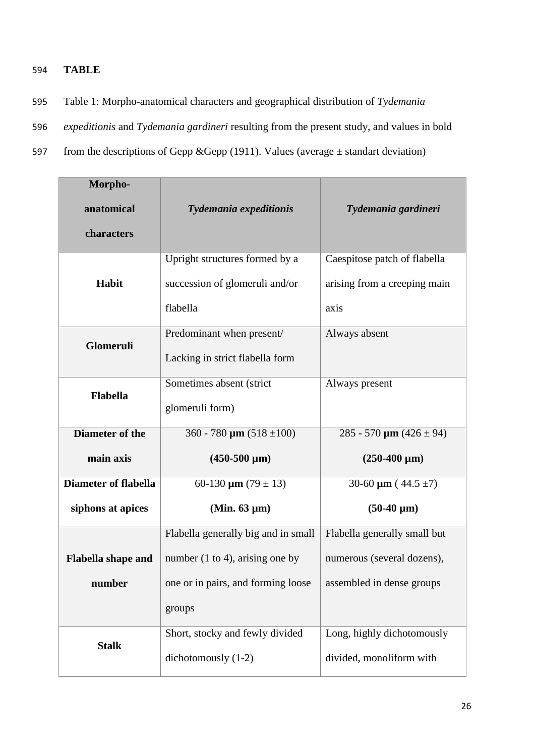## 594 **TABLE**

- 595 Table 1: Morpho-anatomical characters and geographical distribution of *Tydemania*
- 596 *expeditionis* and *Tydemania gardineri* resulting from the present study, and values in bold
- 597 from the descriptions of Gepp &Gepp (1911). Values (average  $\pm$  standart deviation)

| Morpho-                     |                                             |                              |
|-----------------------------|---------------------------------------------|------------------------------|
| anatomical                  | Tydemania expeditionis                      | Tydemania gardineri          |
| characters                  |                                             |                              |
|                             |                                             |                              |
|                             | Upright structures formed by a              | Caespitose patch of flabella |
| Habit                       | succession of glomeruli and/or              | arising from a creeping main |
|                             | flabella                                    | axis                         |
|                             | Predominant when present/                   | Always absent                |
| Glomeruli                   | Lacking in strict flabella form             |                              |
|                             | Sometimes absent (strict                    | Always present               |
| <b>Flabella</b>             | glomeruli form)                             |                              |
|                             |                                             |                              |
| Diameter of the             | 360 - 780 $\mu$ m (518 ±100)                | 285 - 570 $\mu$ m (426 ± 94) |
| main axis                   | $(450-500 \mu m)$                           | $(250-400 \mu m)$            |
| <b>Diameter of flabella</b> | 60-130 $\mu$ m (79 $\pm$ 13)                | 30-60 $\mu$ m (44.5 ±7)      |
| siphons at apices           | (Min. $63 \mu m$ )                          | $(50-40 \mu m)$              |
|                             | Flabella generally big and in small         | Flabella generally small but |
| <b>Flabella shape and</b>   | number $(1 \text{ to } 4)$ , arising one by | numerous (several dozens),   |
| number                      | one or in pairs, and forming loose          | assembled in dense groups    |
|                             | groups                                      |                              |
| <b>Stalk</b>                | Short, stocky and fewly divided             | Long, highly dichotomously   |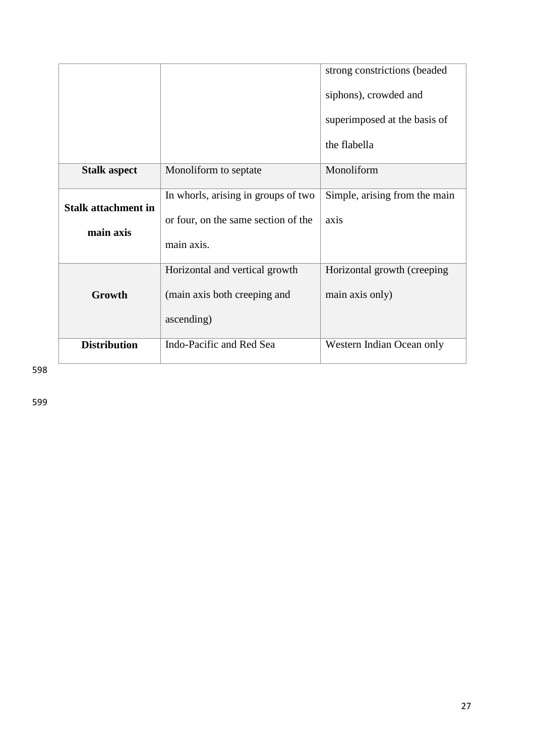|                                         |                                                                                          | strong constrictions (beaded<br>siphons), crowded and<br>superimposed at the basis of |
|-----------------------------------------|------------------------------------------------------------------------------------------|---------------------------------------------------------------------------------------|
|                                         |                                                                                          | the flabella                                                                          |
| <b>Stalk aspect</b>                     | Monoliform to septate                                                                    | Monoliform                                                                            |
| <b>Stalk attachment in</b><br>main axis | In whorls, arising in groups of two<br>or four, on the same section of the<br>main axis. | Simple, arising from the main<br>axis                                                 |
| Growth                                  | Horizontal and vertical growth<br>(main axis both creeping and<br>ascending)             | Horizontal growth (creeping)<br>main axis only)                                       |
| <b>Distribution</b>                     | Indo-Pacific and Red Sea                                                                 | Western Indian Ocean only                                                             |

598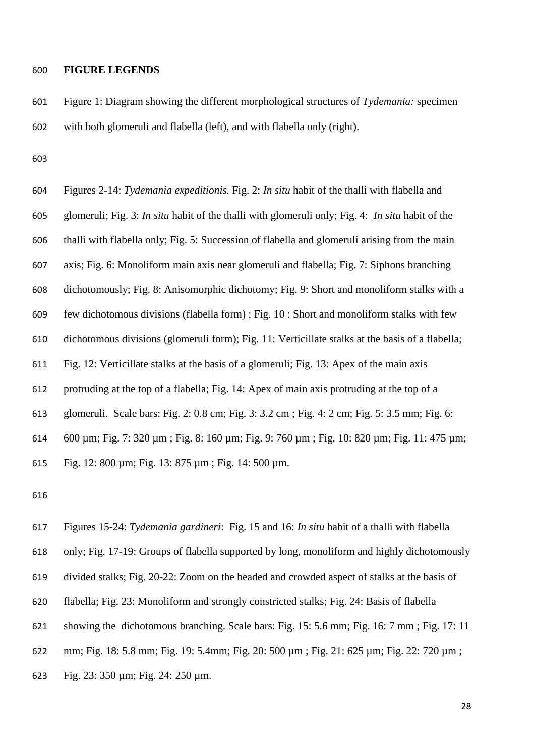#### **FIGURE LEGENDS**

 Figure 1: Diagram showing the different morphological structures of *Tydemania:* specimen with both glomeruli and flabella (left), and with flabella only (right).

 Figures 2-14: *Tydemania expeditionis.* Fig. 2: *In situ* habit of the thalli with flabella and glomeruli; Fig. 3: *In situ* habit of the thalli with glomeruli only; Fig. 4: *In situ* habit of the thalli with flabella only; Fig. 5: Succession of flabella and glomeruli arising from the main axis; Fig. 6: Monoliform main axis near glomeruli and flabella; Fig. 7: Siphons branching dichotomously; Fig. 8: Anisomorphic dichotomy; Fig. 9: Short and monoliform stalks with a few dichotomous divisions (flabella form) ; Fig. 10 : Short and monoliform stalks with few dichotomous divisions (glomeruli form); Fig. 11: Verticillate stalks at the basis of a flabella; Fig. 12: Verticillate stalks at the basis of a glomeruli; Fig. 13: Apex of the main axis protruding at the top of a flabella; Fig. 14: Apex of main axis protruding at the top of a glomeruli. Scale bars: Fig. 2: 0.8 cm; Fig. 3: 3.2 cm ; Fig. 4: 2 cm; Fig. 5: 3.5 mm; Fig. 6: 600 µm; Fig. 7: 320 µm ; Fig. 8: 160 µm; Fig. 9: 760 µm ; Fig. 10: 820 µm; Fig. 11: 475 µm; Fig. 12: 800 µm; Fig. 13: 875 µm ; Fig. 14: 500 µm.



Fig. 23: 350 µm; Fig. 24: 250 µm.